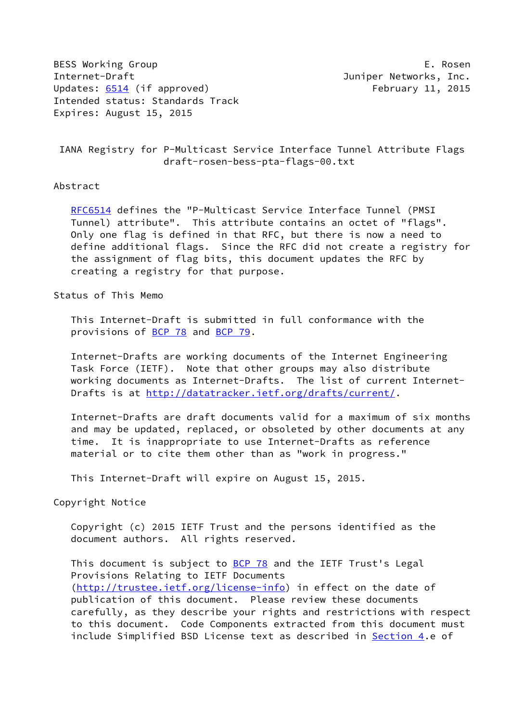BESS Working Group **E. Rosen** Internet-Draft **Internet-Draft Juniper Networks**, Inc. Updates: [6514](https://datatracker.ietf.org/doc/pdf/rfc6514) (if approved) February 11, 2015 Intended status: Standards Track Expires: August 15, 2015

 IANA Registry for P-Multicast Service Interface Tunnel Attribute Flags draft-rosen-bess-pta-flags-00.txt

## Abstract

[RFC6514](https://datatracker.ietf.org/doc/pdf/rfc6514) defines the "P-Multicast Service Interface Tunnel (PMSI Tunnel) attribute". This attribute contains an octet of "flags". Only one flag is defined in that RFC, but there is now a need to define additional flags. Since the RFC did not create a registry for the assignment of flag bits, this document updates the RFC by creating a registry for that purpose.

Status of This Memo

 This Internet-Draft is submitted in full conformance with the provisions of [BCP 78](https://datatracker.ietf.org/doc/pdf/bcp78) and [BCP 79](https://datatracker.ietf.org/doc/pdf/bcp79).

 Internet-Drafts are working documents of the Internet Engineering Task Force (IETF). Note that other groups may also distribute working documents as Internet-Drafts. The list of current Internet Drafts is at<http://datatracker.ietf.org/drafts/current/>.

 Internet-Drafts are draft documents valid for a maximum of six months and may be updated, replaced, or obsoleted by other documents at any time. It is inappropriate to use Internet-Drafts as reference material or to cite them other than as "work in progress."

This Internet-Draft will expire on August 15, 2015.

Copyright Notice

 Copyright (c) 2015 IETF Trust and the persons identified as the document authors. All rights reserved.

This document is subject to **[BCP 78](https://datatracker.ietf.org/doc/pdf/bcp78)** and the IETF Trust's Legal Provisions Relating to IETF Documents [\(http://trustee.ietf.org/license-info](http://trustee.ietf.org/license-info)) in effect on the date of publication of this document. Please review these documents carefully, as they describe your rights and restrictions with respect to this document. Code Components extracted from this document must include Simplified BSD License text as described in [Section 4.](#page-2-0)e of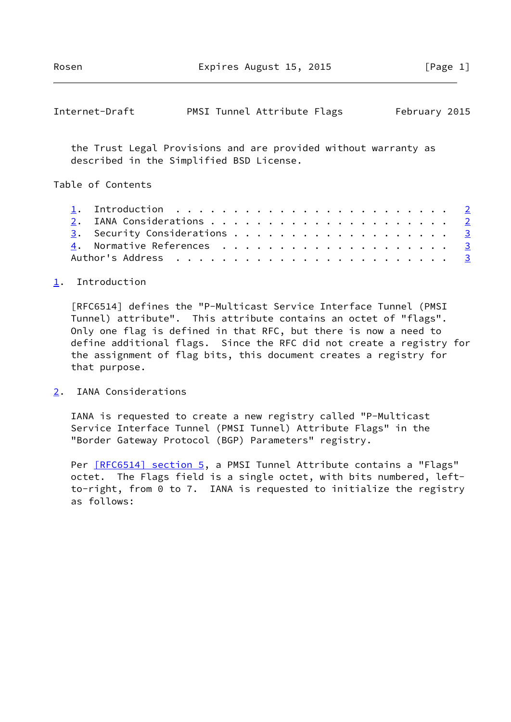<span id="page-1-1"></span>

| Internet-Draft |  |  | PMSI Tunnel Attribute Flags |  | February 2015 |  |
|----------------|--|--|-----------------------------|--|---------------|--|
|----------------|--|--|-----------------------------|--|---------------|--|

 the Trust Legal Provisions and are provided without warranty as described in the Simplified BSD License.

Table of Contents

|  | 1. Introduction $\ldots \ldots \ldots \ldots \ldots \ldots \ldots \ldots \ldots$ |  |  |  |  |  |  |  |  |  |  |  |  |
|--|----------------------------------------------------------------------------------|--|--|--|--|--|--|--|--|--|--|--|--|
|  |                                                                                  |  |  |  |  |  |  |  |  |  |  |  |  |
|  | 3. Security Considerations 3                                                     |  |  |  |  |  |  |  |  |  |  |  |  |
|  |                                                                                  |  |  |  |  |  |  |  |  |  |  |  |  |
|  |                                                                                  |  |  |  |  |  |  |  |  |  |  |  |  |

## <span id="page-1-0"></span>[1](#page-1-0). Introduction

 [RFC6514] defines the "P-Multicast Service Interface Tunnel (PMSI Tunnel) attribute". This attribute contains an octet of "flags". Only one flag is defined in that RFC, but there is now a need to define additional flags. Since the RFC did not create a registry for the assignment of flag bits, this document creates a registry for that purpose.

<span id="page-1-2"></span>[2](#page-1-2). IANA Considerations

 IANA is requested to create a new registry called "P-Multicast Service Interface Tunnel (PMSI Tunnel) Attribute Flags" in the "Border Gateway Protocol (BGP) Parameters" registry.

Per [\[RFC6514\] section](https://datatracker.ietf.org/doc/pdf/rfc6514#section-5) 5, a PMSI Tunnel Attribute contains a "Flags" octet. The Flags field is a single octet, with bits numbered, left to-right, from 0 to 7. IANA is requested to initialize the registry as follows: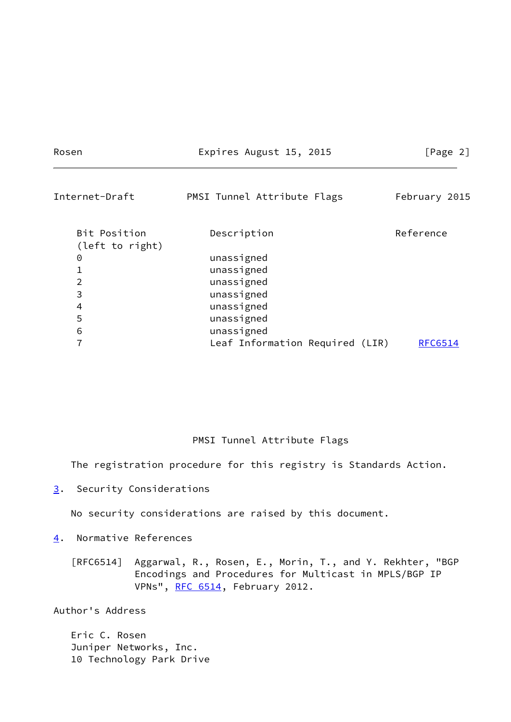Rosen Expires August 15, 2015 [Page 2]

<span id="page-2-2"></span>

| Internet-Draft                  | PMSI Tunnel Attribute Flags     | February 2015 |  |  |  |  |
|---------------------------------|---------------------------------|---------------|--|--|--|--|
| Bit Position<br>(left to right) | Description                     | Reference     |  |  |  |  |
| 0                               | unassigned                      |               |  |  |  |  |
| 1                               | unassigned                      |               |  |  |  |  |
| $\overline{2}$                  | unassigned                      |               |  |  |  |  |
| 3                               | unassigned                      |               |  |  |  |  |
| 4                               | unassigned                      |               |  |  |  |  |
| 5                               | unassigned                      |               |  |  |  |  |
| 6                               | unassigned                      |               |  |  |  |  |
| 7                               | Leaf Information Required (LIR) | RFC6514       |  |  |  |  |
|                                 |                                 |               |  |  |  |  |

## PMSI Tunnel Attribute Flags

The registration procedure for this registry is Standards Action.

<span id="page-2-1"></span>[3](#page-2-1). Security Considerations

No security considerations are raised by this document.

<span id="page-2-0"></span>[4](#page-2-0). Normative References

 [RFC6514] Aggarwal, R., Rosen, E., Morin, T., and Y. Rekhter, "BGP Encodings and Procedures for Multicast in MPLS/BGP IP VPNs", [RFC 6514](https://datatracker.ietf.org/doc/pdf/rfc6514), February 2012.

Author's Address

 Eric C. Rosen Juniper Networks, Inc. 10 Technology Park Drive